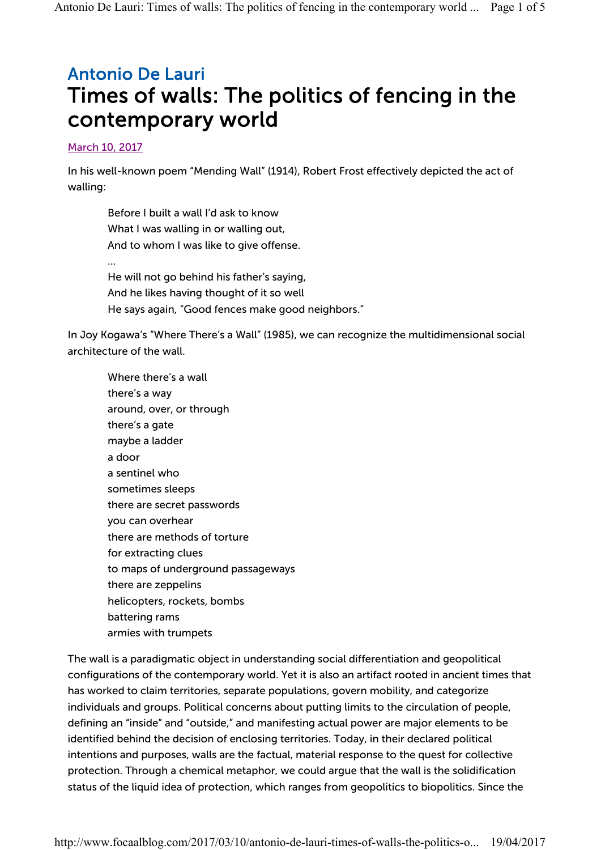## Antonio De Lauri Times of walls: The politics of fencing in the contemporary world

## March 10, 2017

In his well-known poem "Mending Wall" (1914), Robert Frost effectively depicted the act of walling:

Before I built a wall I'd ask to know What I was walling in or walling out, And to whom I was like to give offense. … He will not go behind his father's saying, And he likes having thought of it so well He says again, "Good fences make good neighbors."

In Joy Kogawa's "Where There's a Wall" (1985), we can recognize the multidimensional social architecture of the wall.

Where there's a wall there's a way around, over, or through there's a gate maybe a ladder a door a sentinel who sometimes sleeps there are secret passwords you can overhear there are methods of torture for extracting clues to maps of underground passageways there are zeppelins helicopters, rockets, bombs battering rams armies with trumpets

The wall is a paradigmatic object in understanding social differentiation and geopolitical configurations of the contemporary world. Yet it is also an artifact rooted in ancient times that has worked to claim territories, separate populations, govern mobility, and categorize individuals and groups. Political concerns about putting limits to the circulation of people, defining an "inside" and "outside," and manifesting actual power are major elements to be identified behind the decision of enclosing territories. Today, in their declared political intentions and purposes, walls are the factual, material response to the quest for collective protection. Through a chemical metaphor, we could argue that the wall is the solidification status of the liquid idea of protection, which ranges from geopolitics to biopolitics. Since the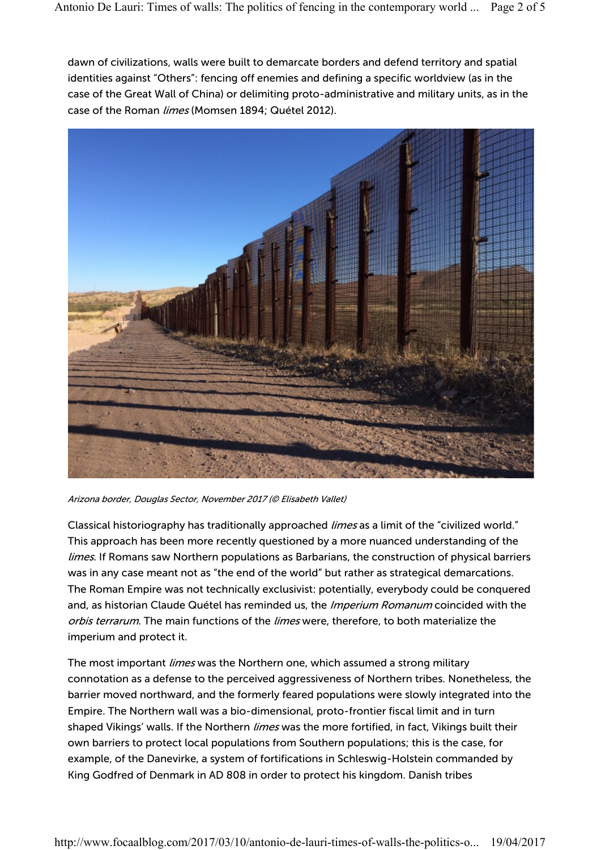dawn of civilizations, walls were built to demarcate borders and defend territory and spatial identities against "Others": fencing off enemies and defining a specific worldview (as in the case of the Great Wall of China) or delimiting proto-administrative and military units, as in the case of the Roman limes (Momsen 1894; Quétel 2012).



Arizona border, Douglas Sector, November 2017 (© Elisabeth Vallet)

Classical historiography has traditionally approached *limes* as a limit of the "civilized world." This approach has been more recently questioned by a more nuanced understanding of the limes. If Romans saw Northern populations as Barbarians, the construction of physical barriers was in any case meant not as "the end of the world" but rather as strategical demarcations. The Roman Empire was not technically exclusivist: potentially, everybody could be conquered and, as historian Claude Quétel has reminded us, the Imperium Romanum coincided with the orbis terrarum. The main functions of the limes were, therefore, to both materialize the imperium and protect it.

The most important *limes* was the Northern one, which assumed a strong military connotation as a defense to the perceived aggressiveness of Northern tribes. Nonetheless, the barrier moved northward, and the formerly feared populations were slowly integrated into the Empire. The Northern wall was a bio-dimensional, proto-frontier fiscal limit and in turn shaped Vikings' walls. If the Northern *limes* was the more fortified, in fact, Vikings built their own barriers to protect local populations from Southern populations; this is the case, for example, of the Danevirke, a system of fortifications in Schleswig-Holstein commanded by King Godfred of Denmark in AD 808 in order to protect his kingdom. Danish tribes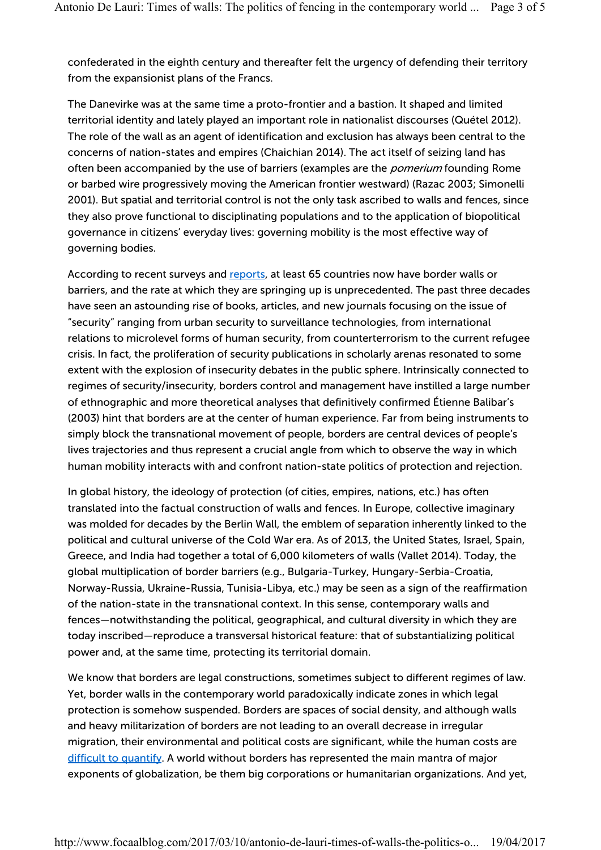confederated in the eighth century and thereafter felt the urgency of defending their territory from the expansionist plans of the Francs.

The Danevirke was at the same time a proto-frontier and a bastion. It shaped and limited territorial identity and lately played an important role in nationalist discourses (Quétel 2012). The role of the wall as an agent of identification and exclusion has always been central to the concerns of nation-states and empires (Chaichian 2014). The act itself of seizing land has often been accompanied by the use of barriers (examples are the *pomerium* founding Rome or barbed wire progressively moving the American frontier westward) (Razac 2003; Simonelli 2001). But spatial and territorial control is not the only task ascribed to walls and fences, since they also prove functional to disciplinating populations and to the application of biopolitical governance in citizens' everyday lives: governing mobility is the most effective way of governing bodies.

According to recent surveys and reports, at least 65 countries now have border walls or barriers, and the rate at which they are springing up is unprecedented. The past three decades have seen an astounding rise of books, articles, and new journals focusing on the issue of "security" ranging from urban security to surveillance technologies, from international relations to microlevel forms of human security, from counterterrorism to the current refugee crisis. In fact, the proliferation of security publications in scholarly arenas resonated to some extent with the explosion of insecurity debates in the public sphere. Intrinsically connected to regimes of security/insecurity, borders control and management have instilled a large number of ethnographic and more theoretical analyses that definitively confirmed Étienne Balibar's (2003) hint that borders are at the center of human experience. Far from being instruments to simply block the transnational movement of people, borders are central devices of people's lives trajectories and thus represent a crucial angle from which to observe the way in which human mobility interacts with and confront nation-state politics of protection and rejection.

In global history, the ideology of protection (of cities, empires, nations, etc.) has often translated into the factual construction of walls and fences. In Europe, collective imaginary was molded for decades by the Berlin Wall, the emblem of separation inherently linked to the political and cultural universe of the Cold War era. As of 2013, the United States, Israel, Spain, Greece, and India had together a total of 6,000 kilometers of walls (Vallet 2014). Today, the global multiplication of border barriers (e.g., Bulgaria-Turkey, Hungary-Serbia-Croatia, Norway-Russia, Ukraine-Russia, Tunisia-Libya, etc.) may be seen as a sign of the reaffirmation of the nation-state in the transnational context. In this sense, contemporary walls and fences—notwithstanding the political, geographical, and cultural diversity in which they are today inscribed—reproduce a transversal historical feature: that of substantializing political power and, at the same time, protecting its territorial domain.

We know that borders are legal constructions, sometimes subject to different regimes of law. Yet, border walls in the contemporary world paradoxically indicate zones in which legal protection is somehow suspended. Borders are spaces of social density, and although walls and heavy militarization of borders are not leading to an overall decrease in irregular migration, their environmental and political costs are significant, while the human costs are difficult to quantify. A world without borders has represented the main mantra of major exponents of globalization, be them big corporations or humanitarian organizations. And yet,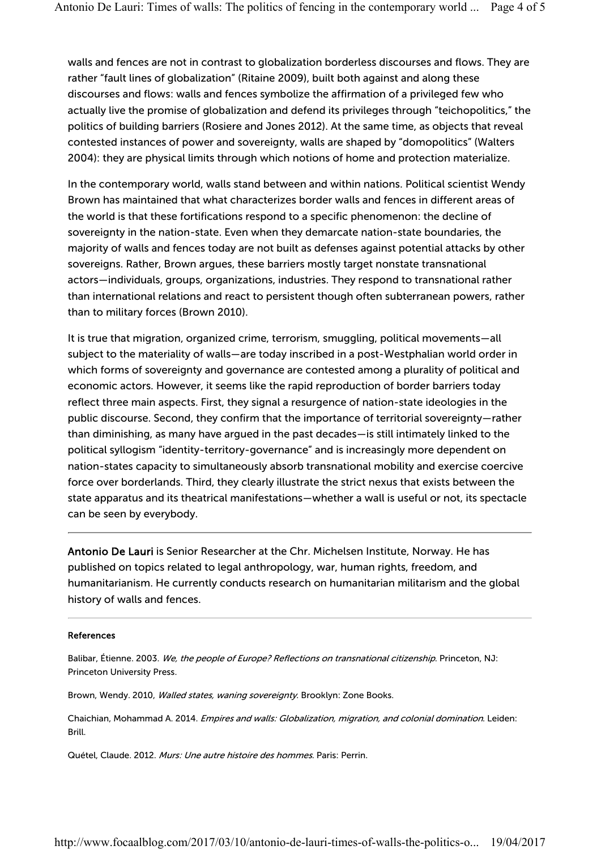walls and fences are not in contrast to globalization borderless discourses and flows. They are rather "fault lines of globalization" (Ritaine 2009), built both against and along these discourses and flows: walls and fences symbolize the affirmation of a privileged few who actually live the promise of globalization and defend its privileges through "teichopolitics," the politics of building barriers (Rosiere and Jones 2012). At the same time, as objects that reveal contested instances of power and sovereignty, walls are shaped by "domopolitics" (Walters 2004): they are physical limits through which notions of home and protection materialize.

In the contemporary world, walls stand between and within nations. Political scientist Wendy Brown has maintained that what characterizes border walls and fences in different areas of the world is that these fortifications respond to a specific phenomenon: the decline of sovereignty in the nation-state. Even when they demarcate nation-state boundaries, the majority of walls and fences today are not built as defenses against potential attacks by other sovereigns. Rather, Brown argues, these barriers mostly target nonstate transnational actors—individuals, groups, organizations, industries. They respond to transnational rather than international relations and react to persistent though often subterranean powers, rather than to military forces (Brown 2010).

It is true that migration, organized crime, terrorism, smuggling, political movements—all subject to the materiality of walls—are today inscribed in a post-Westphalian world order in which forms of sovereignty and governance are contested among a plurality of political and economic actors. However, it seems like the rapid reproduction of border barriers today reflect three main aspects. First, they signal a resurgence of nation-state ideologies in the public discourse. Second, they confirm that the importance of territorial sovereignty—rather than diminishing, as many have argued in the past decades—is still intimately linked to the political syllogism "identity-territory-governance" and is increasingly more dependent on nation-states capacity to simultaneously absorb transnational mobility and exercise coercive force over borderlands. Third, they clearly illustrate the strict nexus that exists between the state apparatus and its theatrical manifestations—whether a wall is useful or not, its spectacle can be seen by everybody.

Antonio De Lauri is Senior Researcher at the Chr. Michelsen Institute, Norway. He has published on topics related to legal anthropology, war, human rights, freedom, and humanitarianism. He currently conducts research on humanitarian militarism and the global history of walls and fences.

## References

Balibar, Étienne. 2003. We, the people of Europe? Reflections on transnational citizenship. Princeton, NJ: Princeton University Press.

Brown, Wendy. 2010, Walled states, waning sovereignty. Brooklyn: Zone Books.

Chaichian, Mohammad A. 2014. Empires and walls: Globalization, migration, and colonial domination. Leiden: Brill.

Quétel, Claude. 2012. Murs: Une autre histoire des hommes. Paris: Perrin.